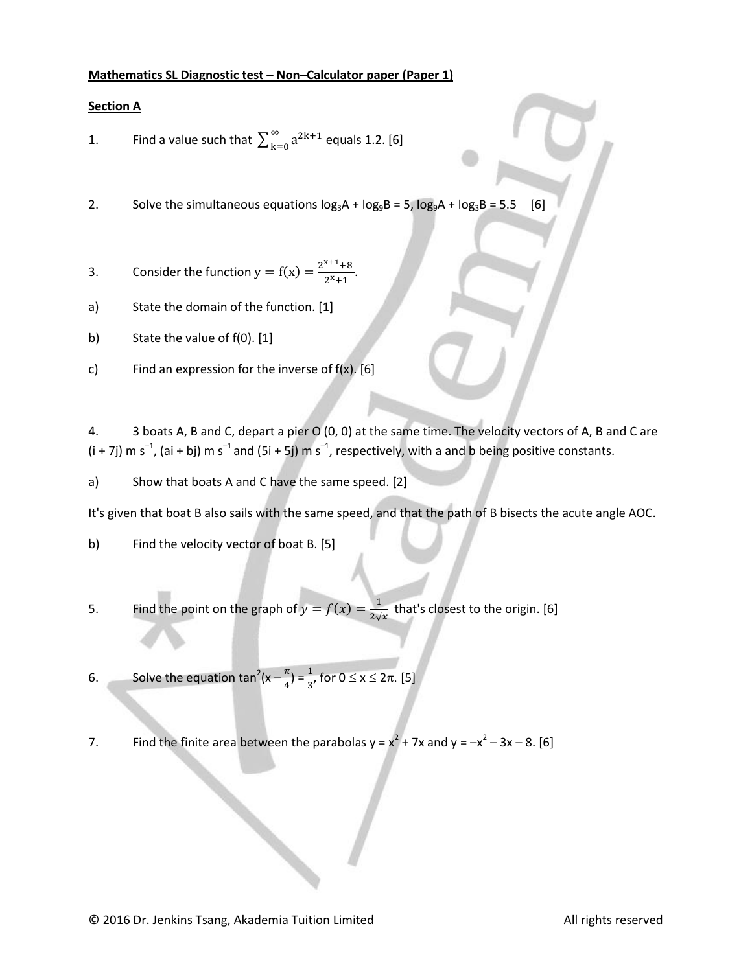#### **Mathematics SL Diagnostic test – Non–Calculator paper (Paper 1)**

# **Section A**

1. Find a value such that 
$$
\sum_{k=0}^{\infty} a^{2k+1}
$$
 equals 1.2. [6]

2. Solve the simultaneous equations  $log_3A + log_9B = 5$ ,  $log_9A + log_3B = 5.5$  [6]

- 3. Consider the function  $y = f(x) = \frac{2^x}{x^2}$  $\frac{16}{2^{x}+1}$ .
- a) State the domain of the function. [1]
- b) State the value of f(0). [1]
- c) Find an expression for the inverse of  $f(x)$ . [6]

4. 3 boats A, B and C, depart a pier O (0, 0) at the same time. The velocity vectors of A, B and C are (i + 7j) m s<sup>-1</sup>, (ai + bj) m s<sup>-1</sup> and (5i + 5j) m s<sup>-1</sup>, respectively, with a and b being positive constants.

a) Show that boats A and C have the same speed. [2]

It's given that boat B also sails with the same speed, and that the path of B bisects the acute angle AOC.

b) Find the velocity vector of boat B. [5]

5. Find the point on the graph of  $y = f(x) = \frac{1}{2}$  $\frac{1}{2\sqrt{x}}$  that's closest to the origin. [6]

6. Solve the equation tan<sup>2</sup>(x -  $\frac{\pi}{4}$  $\frac{\pi}{4}$ ) =  $\frac{1}{3}$ , for 0  $\leq$  x  $\leq$  2 $\pi$ . [5]

7. Find the finite area between the parabolas  $y = x^2 + 7x$  and  $y = -x^2 - 3x - 8$ . [6]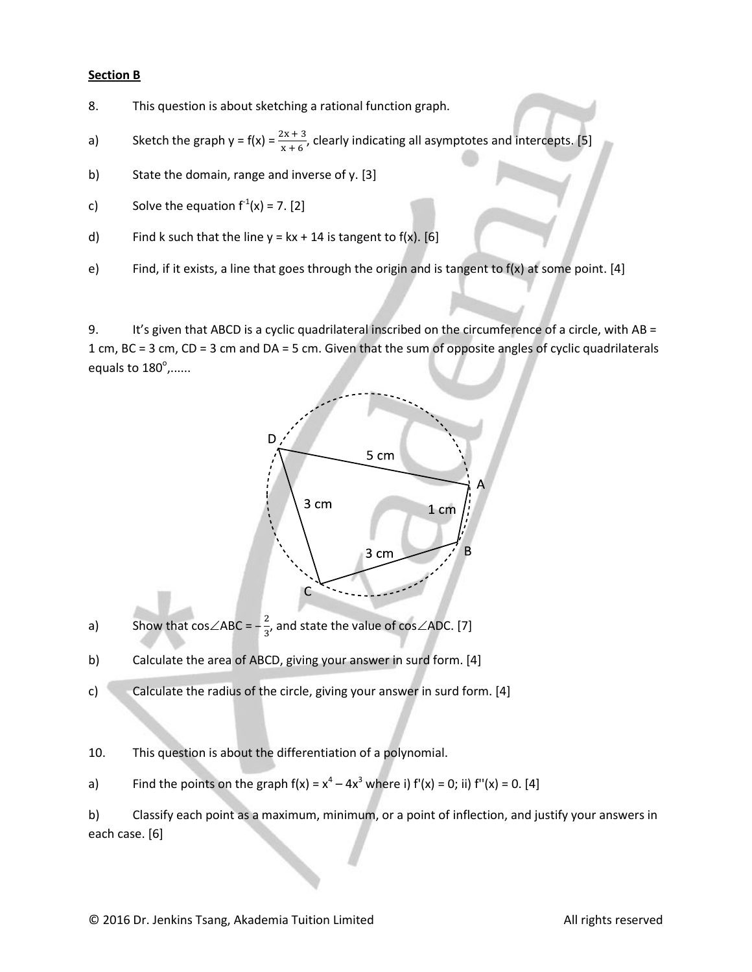#### **Section B**

- 8. This question is about sketching a rational function graph.
- a) Sketch the graph  $y = f(x) = \frac{2x+3}{x+6}$ , clearly indicating all asymptotes and intercepts. [5]
- b) State the domain, range and inverse of y. [3]
- c) Solve the equation  $f^1(x) = 7$ . [2]
- d) Find k such that the line  $y = kx + 14$  is tangent to f(x). [6]
- e) Find, if it exists, a line that goes through the origin and is tangent to f(x) at some point. [4]

9. It's given that ABCD is a cyclic quadrilateral inscribed on the circumference of a circle, with AB = 1 cm, BC = 3 cm, CD = 3 cm and DA = 5 cm. Given that the sum of opposite angles of cyclic quadrilaterals equals to  $180^{\circ}$ ,......



- a) Show that  $cos\angle ABC = -\frac{2}{3}$  $\frac{2}{3}$ , and state the value of cos $\angle$ ADC. [7]
- b) Calculate the area of ABCD, giving your answer in surd form. [4]
- c) Calculate the radius of the circle, giving your answer in surd form. [4]

10. This question is about the differentiation of a polynomial.

a) Find the points on the graph  $f(x) = x^4 - 4x^3$  where i)  $f'(x) = 0$ ; ii)  $f''(x) = 0$ . [4]

b) Classify each point as a maximum, minimum, or a point of inflection, and justify your answers in each case. [6]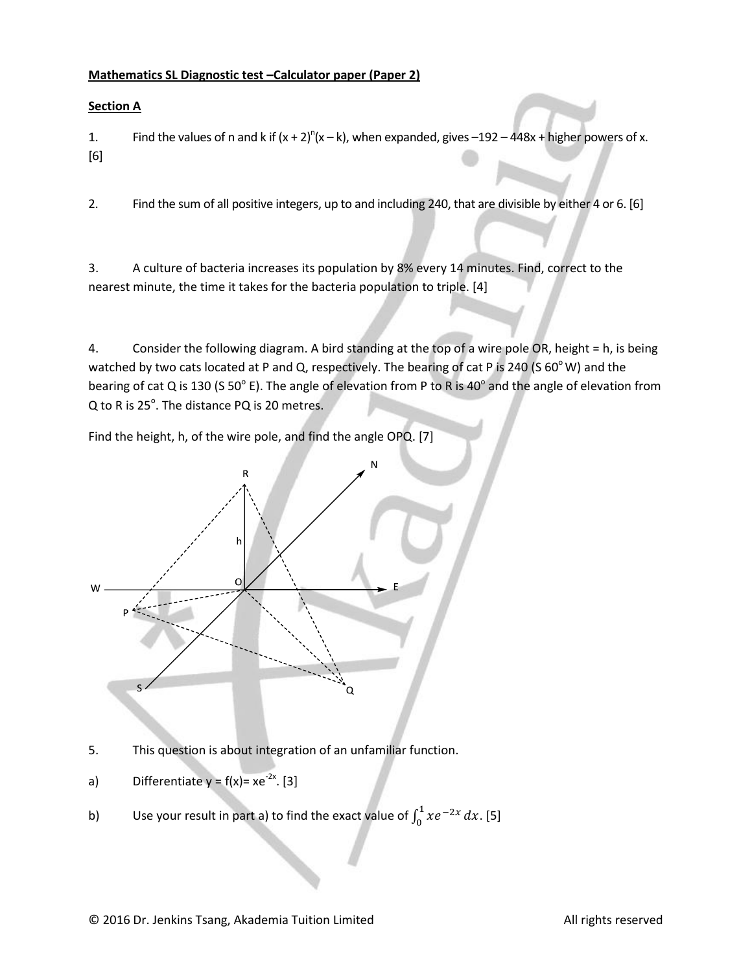# **Mathematics SL Diagnostic test –Calculator paper (Paper 2)**

### **Section A**

1. Find the values of n and k if  $(x + 2)^n(x - k)$ , when expanded, gives  $-192 - 448x +$  higher powers of x. [6]

2. Find the sum of all positive integers, up to and including 240, that are divisible by either 4 or 6. [6]

3. A culture of bacteria increases its population by 8% every 14 minutes. Find, correct to the nearest minute, the time it takes for the bacteria population to triple. [4]

4. Consider the following diagram. A bird standing at the top of a wire pole OR, height = h, is being watched by two cats located at P and Q, respectively. The bearing of cat P is 240 (S  $60^{\circ}$  W) and the bearing of cat Q is 130 (S 50 $^{\circ}$  E). The angle of elevation from P to R is 40 $^{\circ}$  and the angle of elevation from Q to R is 25 $^{\circ}$ . The distance PQ is 20 metres.

Find the height, h, of the wire pole, and find the angle OPQ. [7]



5. This question is about integration of an unfamiliar function.

- a) Differentiate  $y = f(x) = xe^{-2x}$ . [3]
- b) Use your result in part a) to find the exact value of  $\int_0^1 xe^{-t}$  $\int_{0}^{1} xe^{-2x} dx$ . [5]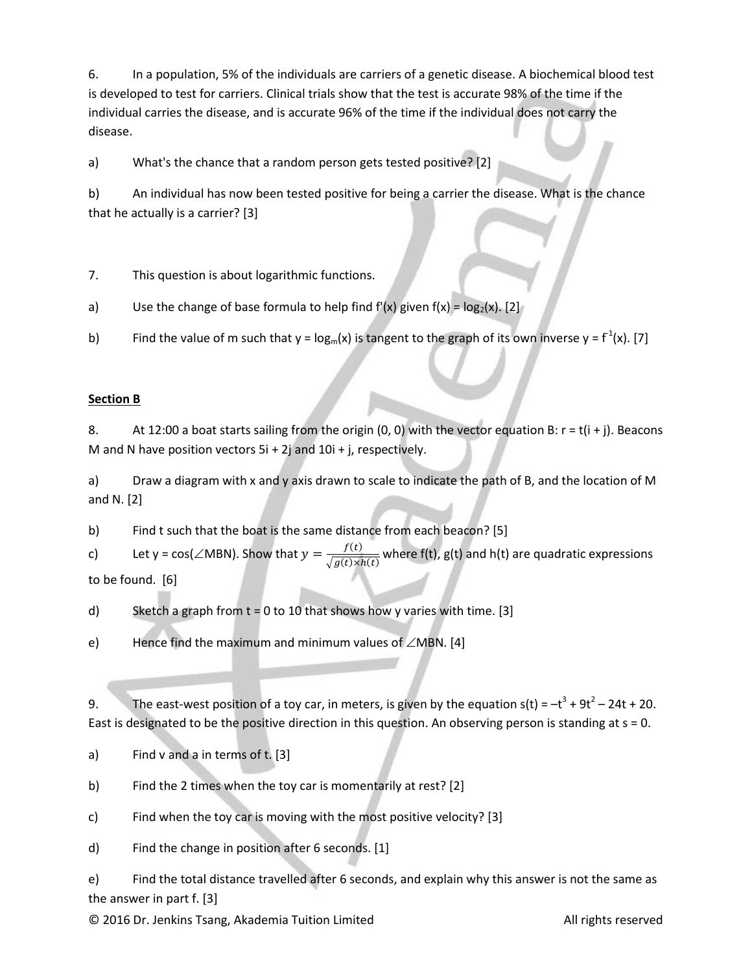6. In a population, 5% of the individuals are carriers of a genetic disease. A biochemical blood test is developed to test for carriers. Clinical trials show that the test is accurate 98% of the time if the individual carries the disease, and is accurate 96% of the time if the individual does not carry the disease.

a) What's the chance that a random person gets tested positive? [2]

b) An individual has now been tested positive for being a carrier the disease. What is the chance that he actually is a carrier? [3]

7. This question is about logarithmic functions.

a) Use the change of base formula to help find  $f'(x)$  given  $f(x) = log_2(x)$ . [2]

b) Find the value of m such that y =  $\log_{m}(x)$  is tangent to the graph of its own inverse y =  $f^1(x)$ . [7]

# **Section B**

8. At 12:00 a boat starts sailing from the origin  $(0, 0)$  with the vector equation B:  $r = t(i + j)$ . Beacons M and N have position vectors  $5i + 2j$  and  $10i + j$ , respectively.

a) Draw a diagram with x and y axis drawn to scale to indicate the path of B, and the location of M and N. [2]

b) Find t such that the boat is the same distance from each beacon? [5]

c) Let y = cos( $\angle$ MBN). Show that  $y = \frac{f}{\sqrt{1-f}}$  $\sqrt{g(t) \times h(t)}$  where f(t), g(t) and h(t) are quadratic expressions to be found. [6]

d) Sketch a graph from t = 0 to 10 that shows how y varies with time. [3]

e) Hence find the maximum and minimum values of  $\angle$ MBN. [4]

9. The east-west position of a toy car, in meters, is given by the equation  $s(t) = -t^3 + 9t^2 - 24t + 20$ . East is designated to be the positive direction in this question. An observing person is standing at s = 0.

a) Find v and a in terms of t. [3]

b) Find the 2 times when the toy car is momentarily at rest? [2]

c) Find when the toy car is moving with the most positive velocity? [3]

d) Find the change in position after 6 seconds. [1]

e) Find the total distance travelled after 6 seconds, and explain why this answer is not the same as the answer in part f. [3]

© 2016 Dr. Jenkins Tsang, Akademia Tuition Limited **All rights reserved** All rights reserved